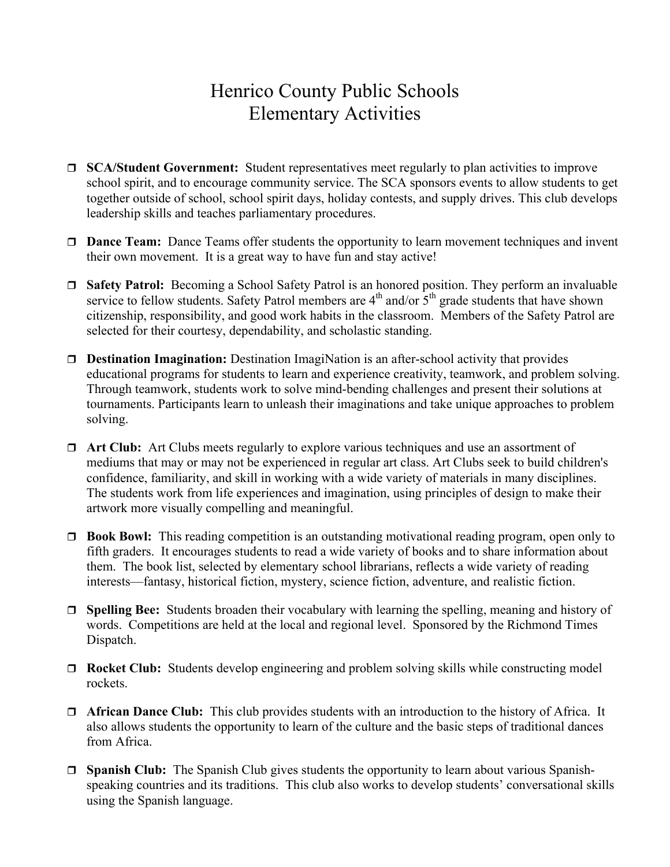## Henrico County Public Schools Elementary Activities

- **SCA/Student Government:** Student representatives meet regularly to plan activities to improve school spirit, and to encourage community service. The SCA sponsors events to allow students to get together outside of school, school spirit days, holiday contests, and supply drives. This club develops leadership skills and teaches parliamentary procedures.
- □ **Dance Team:** Dance Teams offer students the opportunity to learn movement techniques and invent their own movement. It is a great way to have fun and stay active!
- □ Safety Patrol: Becoming a School Safety Patrol is an honored position. They perform an invaluable service to fellow students. Safety Patrol members are  $4<sup>th</sup>$  and/or  $5<sup>th</sup>$  grade students that have shown citizenship, responsibility, and good work habits in the classroom. Members of the Safety Patrol are selected for their courtesy, dependability, and scholastic standing.
- □ **Destination Imagination:** Destination ImagiNation is an after-school activity that provides educational programs for students to learn and experience creativity, teamwork, and problem solving. Through teamwork, students work to solve mind-bending challenges and present their solutions at tournaments. Participants learn to unleash their imaginations and take unique approaches to problem solving.
- **Art Club:** Art Clubs meets regularly to explore various techniques and use an assortment of mediums that may or may not be experienced in regular art class. Art Clubs seek to build children's confidence, familiarity, and skill in working with a wide variety of materials in many disciplines. The students work from life experiences and imagination, using principles of design to make their artwork more visually compelling and meaningful.
- **Book Bowl:** This reading competition is an outstanding motivational reading program, open only to fifth graders. It encourages students to read a wide variety of books and to share information about them. The book list, selected by elementary school librarians, reflects a wide variety of reading interests—fantasy, historical fiction, mystery, science fiction, adventure, and realistic fiction.
- **Spelling Bee:** Students broaden their vocabulary with learning the spelling, meaning and history of words. Competitions are held at the local and regional level. Sponsored by the Richmond Times Dispatch.
- **Rocket Club:** Students develop engineering and problem solving skills while constructing model rockets.
- **African Dance Club:** This club provides students with an introduction to the history of Africa. It also allows students the opportunity to learn of the culture and the basic steps of traditional dances from Africa.
- □ **Spanish Club:** The Spanish Club gives students the opportunity to learn about various Spanishspeaking countries and its traditions. This club also works to develop students' conversational skills using the Spanish language.